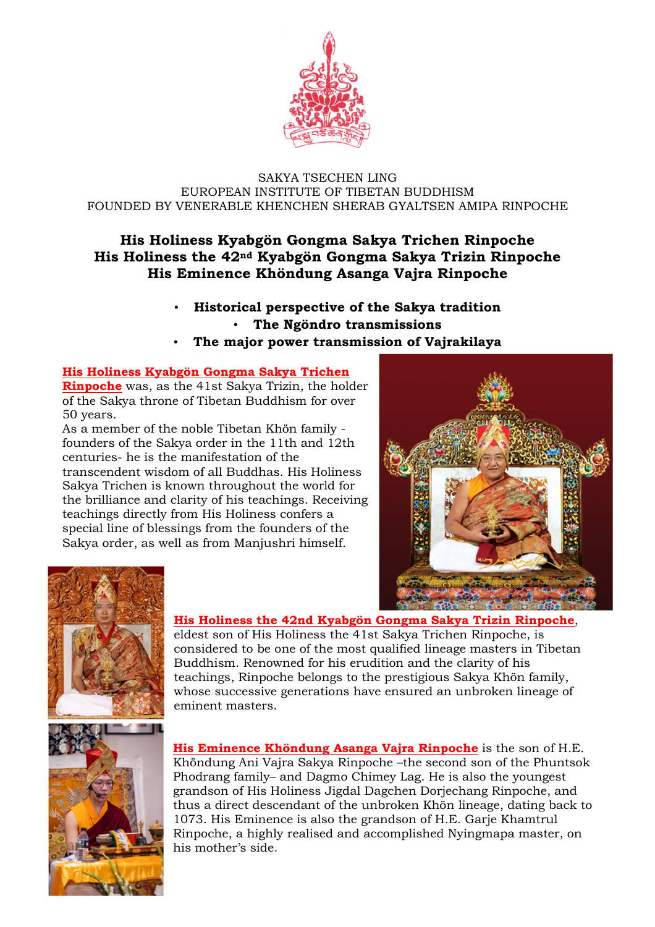

#### SAKYA TSECHEN LING EUROPEAN INSTITUTE OF TIBETAN BUDDHISM FOUNDED BY VENERABLE KHENCHEN SHERAB GYALTSEN AMIPA RINPOCHE

# **His Holiness Kyabgön Gongma Sakya Trichen Rinpoche His Holiness the 42nd Kyabgön Gongma Sakya Trizin Rinpoche His Eminence Khöndung Asanga Vajra Rinpoche**

- **Historical perspective of the Sakya tradition** • **The Ngöndro transmissions**
- **The major power transmission of Vajrakilaya**

### **His Holiness Kyabgön Gongma Sakya Trichen**

**Rinpoche** was, as the 41st Sakya Trizin, the holder of the Sakya throne of Tibetan Buddhism for over 50 years.

As a member of the noble Tibetan Khön family founders of the Sakya order in the 11th and 12th centuries- he is the manifestation of the transcendent wisdom of all Buddhas. His Holiness Sakya Trichen is known throughout the world for the brilliance and clarity of his teachings. Receiving teachings directly from His Holiness confers a special line of blessings from the founders of the Sakya order, as well as from Manjushri himself.





#### **His Holiness the 42nd Kyabgön Gongma Sakya Trizin Rinpoche**,

eldest son of His Holiness the 41st Sakya Trichen Rinpoche, is considered to be one of the most qualified lineage masters in Tibetan Buddhism. Renowned for his erudition and the clarity of his teachings, Rinpoche belongs to the prestigious Sakya Khön family, whose successive generations have ensured an unbroken lineage of eminent masters.



**His Eminence Khöndung Asanga Vajra Rinpoche** is the son of H.E. Khöndung Ani Vajra Sakya Rinpoche –the second son of the Phuntsok Phodrang family– and Dagmo Chimey Lag. He is also the youngest grandson of His Holiness Jigdal Dagchen Dorjechang Rinpoche, and thus a direct descendant of the unbroken Khön lineage, dating back to 1073. His Eminence is also the grandson of H.E. Garje Khamtrul Rinpoche, a highly realised and accomplished Nyingmapa master, on his mother's side.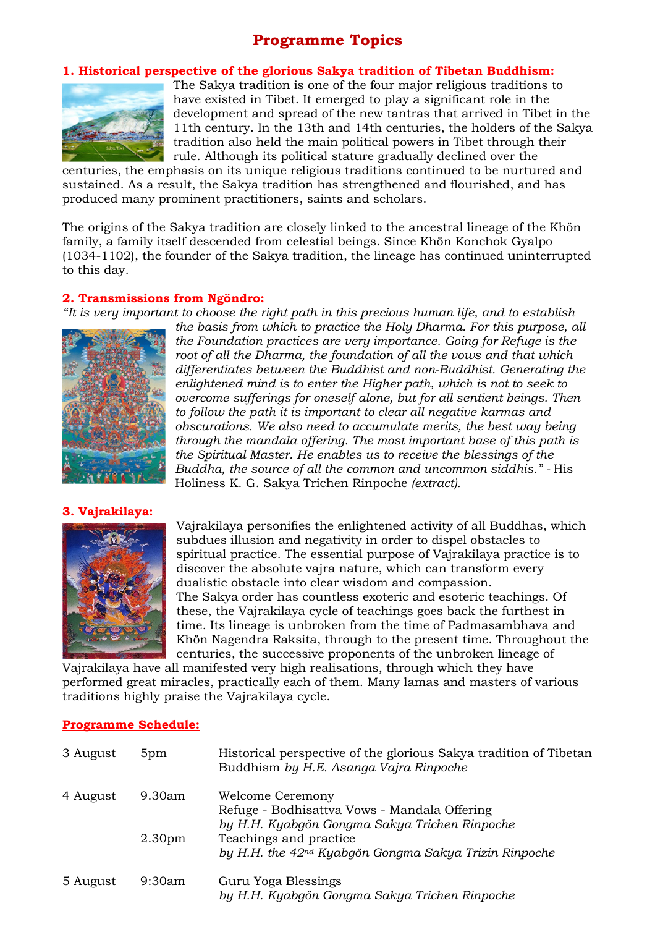# **Programme Topics**

#### **1. Historical perspective of the glorious Sakya tradition of Tibetan Buddhism:**



The Sakya tradition is one of the four major religious traditions to have existed in Tibet. It emerged to play a significant role in the development and spread of the new tantras that arrived in Tibet in the 11th century. In the 13th and 14th centuries, the holders of the Sakya tradition also held the main political powers in Tibet through their rule. Although its political stature gradually declined over the

centuries, the emphasis on its unique religious traditions continued to be nurtured and sustained. As a result, the Sakya tradition has strengthened and flourished, and has produced many prominent practitioners, saints and scholars.

The origins of the Sakya tradition are closely linked to the ancestral lineage of the Khön family, a family itself descended from celestial beings. Since Khön Konchok Gyalpo (1034-1102), the founder of the Sakya tradition, the lineage has continued uninterrupted to this day.

## **2. Transmissions from Ngöndro:**

*"It is very important to choose the right path in this precious human life, and to establish* 



*the basis from which to practice the Holy Dharma. For this purpose, all the Foundation practices are very importance. Going for Refuge is the root of all the Dharma, the foundation of all the vows and that which differentiates between the Buddhist and non-Buddhist. Generating the enlightened mind is to enter the Higher path, which is not to seek to overcome sufferings for oneself alone, but for all sentient beings. Then to follow the path it is important to clear all negative karmas and obscurations. We also need to accumulate merits, the best way being through the mandala offering. The most important base of this path is the Spiritual Master. He enables us to receive the blessings of the Buddha, the source of all the common and uncommon siddhis." -* His Holiness K. G. Sakya Trichen Rinpoche *(extract).* 

#### **3. Vajrakilaya:**



Vajrakilaya personifies the enlightened activity of all Buddhas, which subdues illusion and negativity in order to dispel obstacles to spiritual practice. The essential purpose of Vajrakilaya practice is to discover the absolute vajra nature, which can transform every dualistic obstacle into clear wisdom and compassion. The Sakya order has countless exoteric and esoteric teachings. Of these, the Vajrakilaya cycle of teachings goes back the furthest in time. Its lineage is unbroken from the time of Padmasambhava and Khön Nagendra Raksita, through to the present time. Throughout the centuries, the successive proponents of the unbroken lineage of

Vajrakilaya have all manifested very high realisations, through which they have performed great miracles, practically each of them. Many lamas and masters of various traditions highly praise the Vajrakilaya cycle.

#### **Programme Schedule:**

| 3 August | 5pm                | Historical perspective of the glorious Sakya tradition of Tibetan<br>Buddhism by H.E. Asanga Vajra Rinpoche       |
|----------|--------------------|-------------------------------------------------------------------------------------------------------------------|
| 4 August | $9.30$ am          | Welcome Ceremony<br>Refuge - Bodhisattva Vows - Mandala Offering<br>by H.H. Kyabgön Gongma Sakya Trichen Rinpoche |
|          | 2.30 <sub>pm</sub> | Teachings and practice<br>by H.H. the 42 <sup>nd</sup> Kyabgön Gongma Sakya Trizin Rinpoche                       |
| 5 August | 9:30am             | Guru Yoga Blessings<br>by H.H. Kyabgön Gongma Sakya Trichen Rinpoche                                              |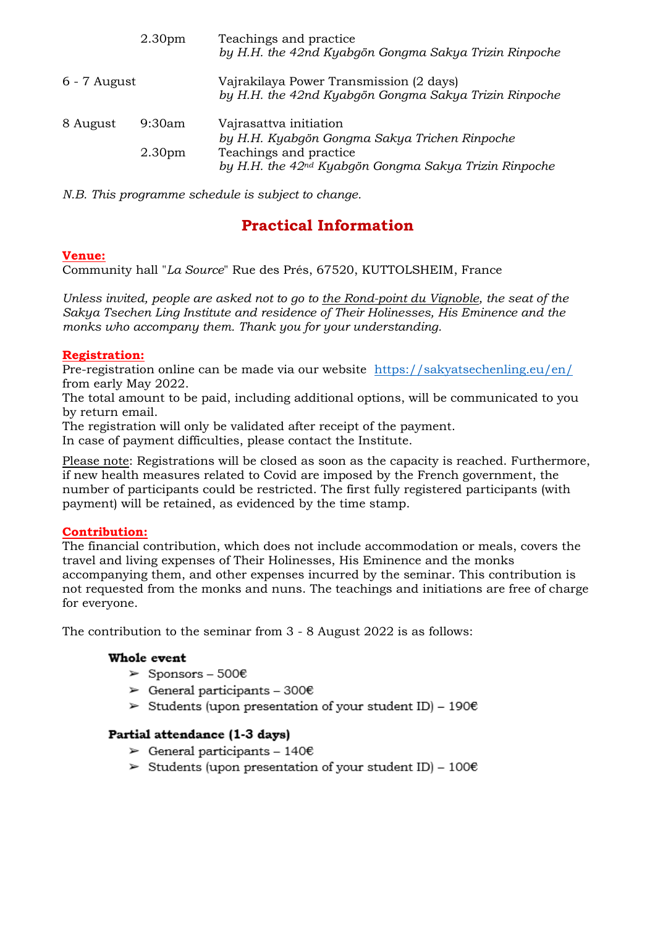|                | 2.30 <sub>pm</sub>           | Teachings and practice<br>by H.H. the 42nd Kyabgön Gongma Sakya Trizin Rinpoche                                                                                        |
|----------------|------------------------------|------------------------------------------------------------------------------------------------------------------------------------------------------------------------|
| $6 - 7$ August |                              | Vajrakilaya Power Transmission (2 days)<br>by H.H. the 42nd Kyabgön Gongma Sakya Trizin Rinpoche                                                                       |
| 8 August       | 9:30am<br>2.30 <sub>pm</sub> | Vajrasattva initiation<br>by H.H. Kyabgön Gongma Sakya Trichen Rinpoche<br>Teachings and practice<br>by H.H. the 42 <sup>nd</sup> Kyabgön Gongma Sakya Trizin Rinpoche |

*N.B. This programme schedule is subject to change.* 

# **Practical Information**

### **Venue:**

Community hall "*La Source*" Rue des Prés, 67520, KUTTOLSHEIM, France

*Unless invited, people are asked not to go to the Rond-point du Vignoble, the seat of the Sakya Tsechen Ling Institute and residence of Their Holinesses, His Eminence and the monks who accompany them. Thank you for your understanding.* 

## **Registration:**

Pre-registration online can be made via our website https://sakyatsechenling.eu/en/ from early May 2022.

The total amount to be paid, including additional options, will be communicated to you by return email.

The registration will only be validated after receipt of the payment.

In case of payment difficulties, please contact the Institute.

Please note: Registrations will be closed as soon as the capacity is reached. Furthermore, if new health measures related to Covid are imposed by the French government, the number of participants could be restricted. The first fully registered participants (with payment) will be retained, as evidenced by the time stamp.

## **Contribution:**

The financial contribution, which does not include accommodation or meals, covers the travel and living expenses of Their Holinesses, His Eminence and the monks accompanying them, and other expenses incurred by the seminar. This contribution is not requested from the monks and nuns. The teachings and initiations are free of charge for everyone.

The contribution to the seminar from 3 - 8 August 2022 is as follows:

## Whole event

- $\triangleright$  Sponsors 500€
- $\triangleright$  General participants 300€
- Students (upon presentation of your student ID) 190 $\epsilon$

## Partial attendance (1-3 days)

- $\triangleright$  General participants 140€
- Students (upon presentation of your student ID)  $100\epsilon$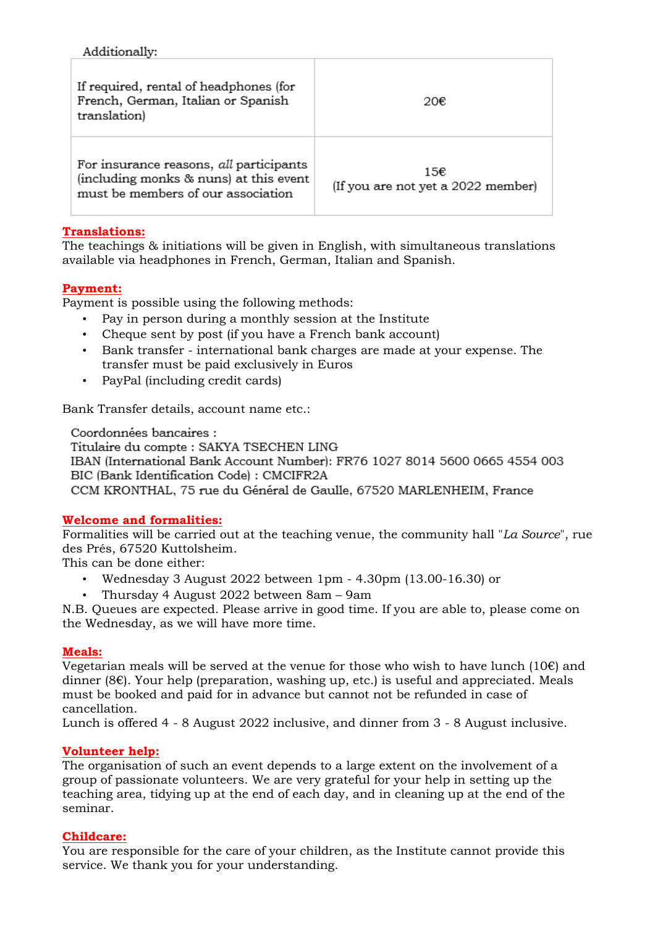## Additionally:

| If required, rental of headphones (for<br>French, German, Italian or Spanish<br>translation)                            | 20€                                       |
|-------------------------------------------------------------------------------------------------------------------------|-------------------------------------------|
| For insurance reasons, all participants<br>(including monks & nuns) at this event<br>must be members of our association | 15€<br>(If you are not yet a 2022 member) |

## **Translations:**

The teachings & initiations will be given in English, with simultaneous translations available via headphones in French, German, Italian and Spanish.

## **Payment:**

Payment is possible using the following methods:

- Pay in person during a monthly session at the Institute
- Cheque sent by post (if you have a French bank account)
- Bank transfer international bank charges are made at your expense. The transfer must be paid exclusively in Euros
- PayPal (including credit cards)

Bank Transfer details, account name etc.:

Coordonnées bancaires :

Titulaire du compte : SAKYA TSECHEN LING IBAN (International Bank Account Number): FR76 1027 8014 5600 0665 4554 003 BIC (Bank Identification Code) : CMCIFR2A CCM KRONTHAL, 75 rue du Général de Gaulle, 67520 MARLENHEIM, France

## **Welcome and formalities:**

Formalities will be carried out at the teaching venue, the community hall "*La Source*", rue des Prés, 67520 Kuttolsheim.

This can be done either:

- Wednesday 3 August 2022 between 1pm 4.30pm (13.00-16.30) or
- Thursday 4 August 2022 between 8am 9am

N.B. Queues are expected. Please arrive in good time. If you are able to, please come on the Wednesday, as we will have more time.

### **Meals:**

Vegetarian meals will be served at the venue for those who wish to have lunch  $(10 \epsilon)$  and dinner (8€). Your help (preparation, washing up, etc.) is useful and appreciated. Meals must be booked and paid for in advance but cannot not be refunded in case of cancellation.

Lunch is offered 4 - 8 August 2022 inclusive, and dinner from 3 - 8 August inclusive.

### **Volunteer help:**

The organisation of such an event depends to a large extent on the involvement of a group of passionate volunteers. We are very grateful for your help in setting up the teaching area, tidying up at the end of each day, and in cleaning up at the end of the seminar.

### **Childcare:**

You are responsible for the care of your children, as the Institute cannot provide this service. We thank you for your understanding.